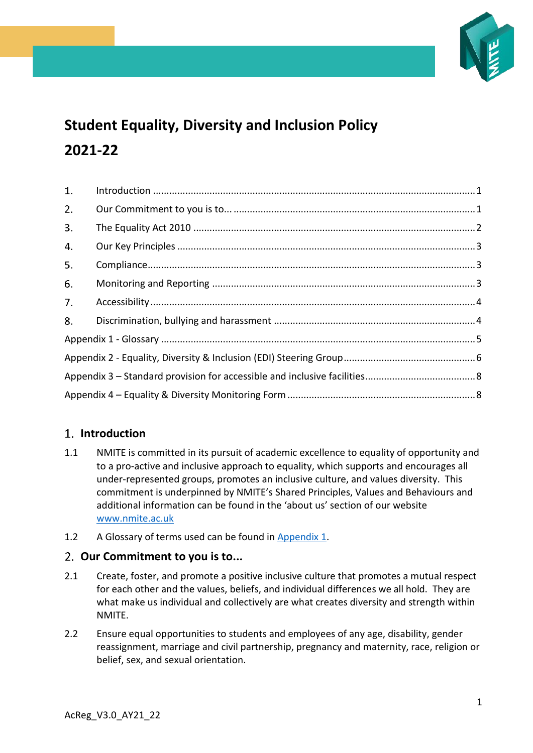

# **Student Equality, Diversity and Inclusion Policy 2021-22**

| 1. |  |  |  |  |
|----|--|--|--|--|
| 2. |  |  |  |  |
| 3. |  |  |  |  |
| 4. |  |  |  |  |
| 5. |  |  |  |  |
| 6. |  |  |  |  |
| 7. |  |  |  |  |
| 8. |  |  |  |  |
|    |  |  |  |  |
|    |  |  |  |  |
|    |  |  |  |  |
|    |  |  |  |  |

## <span id="page-0-0"></span>**Introduction**

- 1.1 NMITE is committed in its pursuit of academic excellence to equality of opportunity and to a pro-active and inclusive approach to equality, which supports and encourages all under-represented groups, promotes an inclusive culture, and values diversity. This commitment is underpinned by NMITE's Shared Principles, Values and Behaviours and additional information can be found in the 'about us' section of our website [www.nmite.ac.uk](http://www.nmite.ac.uk/)
- 1.2 A Glossary of terms used can be found in [Appendix 1.](#page-4-0)

## <span id="page-0-1"></span>**Our Commitment to you is to...**

- 2.1 Create, foster, and promote a positive inclusive culture that promotes a mutual respect for each other and the values, beliefs, and individual differences we all hold. They are what make us individual and collectively are what creates diversity and strength within NMITE.
- 2.2 Ensure equal opportunities to students and employees of any age, disability, gender reassignment, marriage and civil partnership, pregnancy and maternity, race, religion or belief, sex, and sexual orientation.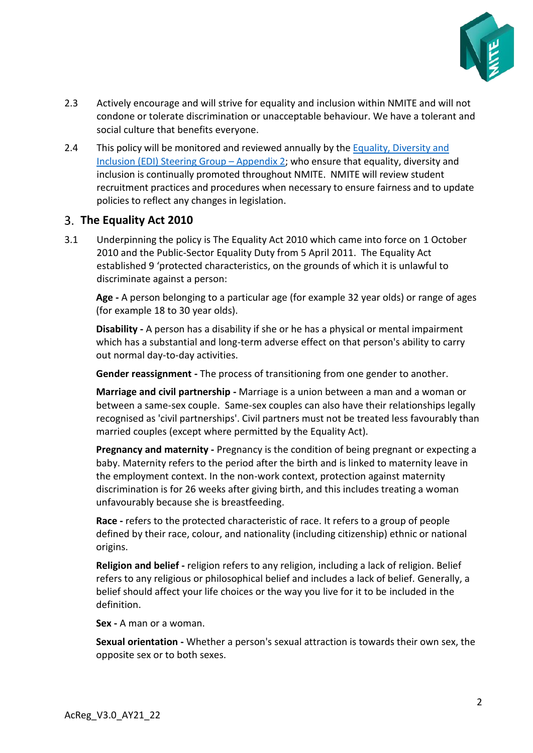

- 2.3 Actively encourage and will strive for equality and inclusion within NMITE and will not condone or tolerate discrimination or unacceptable behaviour. We have a tolerant and social culture that benefits everyone.
- 2.4 This policy will be monitored and reviewed annually by the [Equality, Diversity and](#page-5-0)  Inclusion (EDI) [Steering Group](#page-5-0) – Appendix 2; who ensure that equality, diversity and inclusion is continually promoted throughout NMITE. NMITE will review student recruitment practices and procedures when necessary to ensure fairness and to update policies to reflect any changes in legislation.

## <span id="page-1-0"></span>**The Equality Act 2010**

3.1 Underpinning the policy is The Equality Act 2010 which came into force on 1 October 2010 and the Public-Sector Equality Duty from 5 April 2011. The Equality Act established 9 'protected characteristics, on the grounds of which it is unlawful to discriminate against a person:

**Age -** A person belonging to a particular age (for example 32 year olds) or range of ages (for example 18 to 30 year olds).

**Disability -** A person has a disability if she or he has a physical or mental impairment which has a substantial and long-term adverse effect on that person's ability to carry out normal day-to-day activities.

**Gender reassignment -** The process of transitioning from one gender to another.

**Marriage and civil partnership -** Marriage is a union between a man and a woman or between a same-sex couple. Same-sex couples can also have their relationships legally recognised as 'civil partnerships'. Civil partners must not be treated less favourably than married couples (except where permitted by the Equality Act).

**Pregnancy and maternity -** Pregnancy is the condition of being pregnant or expecting a baby. Maternity refers to the period after the birth and is linked to maternity leave in the employment context. In the non-work context, protection against maternity discrimination is for 26 weeks after giving birth, and this includes treating a woman unfavourably because she is breastfeeding.

**Race -** refers to the protected characteristic of race. It refers to a group of people defined by their race, colour, and nationality (including citizenship) ethnic or national origins.

**Religion and belief -** religion refers to any religion, including a lack of religion. Belief refers to any religious or philosophical belief and includes a lack of belief. Generally, a belief should affect your life choices or the way you live for it to be included in the definition.

**Sex -** A man or a woman.

**Sexual orientation -** Whether a person's sexual attraction is towards their own sex, the opposite sex or to both sexes.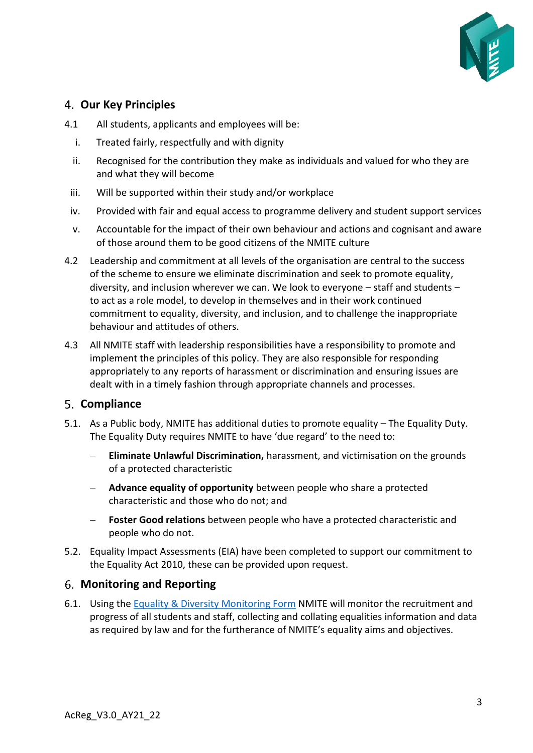

## <span id="page-2-0"></span>**Our Key Principles**

- 4.1 All students, applicants and employees will be:
	- i. Treated fairly, respectfully and with dignity
	- ii. Recognised for the contribution they make as individuals and valued for who they are and what they will become
	- iii. Will be supported within their study and/or workplace
	- iv. Provided with fair and equal access to programme delivery and student support services
	- v. Accountable for the impact of their own behaviour and actions and cognisant and aware of those around them to be good citizens of the NMITE culture
- 4.2 Leadership and commitment at all levels of the organisation are central to the success of the scheme to ensure we eliminate discrimination and seek to promote equality, diversity, and inclusion wherever we can. We look to everyone – staff and students – to act as a role model, to develop in themselves and in their work continued commitment to equality, diversity, and inclusion, and to challenge the inappropriate behaviour and attitudes of others.
- 4.3 All NMITE staff with leadership responsibilities have a responsibility to promote and implement the principles of this policy. They are also responsible for responding appropriately to any reports of harassment or discrimination and ensuring issues are dealt with in a timely fashion through appropriate channels and processes.

#### <span id="page-2-1"></span>**Compliance**

- 5.1. As a Public body, NMITE has additional duties to promote equality The Equality Duty. The Equality Duty requires NMITE to have 'due regard' to the need to:
	- − **Eliminate Unlawful Discrimination,** harassment, and victimisation on the grounds of a protected characteristic
	- − **Advance equality of opportunity** between people who share a protected characteristic and those who do not; and
	- − **Foster Good relations** between people who have a protected characteristic and people who do not.
- 5.2. Equality Impact Assessments (EIA) have been completed to support our commitment to the Equality Act 2010, these can be provided upon request.

## <span id="page-2-2"></span>**Monitoring and Reporting**

6.1. Using the [Equality & Diversity Monitoring Form](#page-7-1) NMITE will monitor the recruitment and progress of all students and staff, collecting and collating equalities information and data as required by law and for the furtherance of NMITE's equality aims and objectives.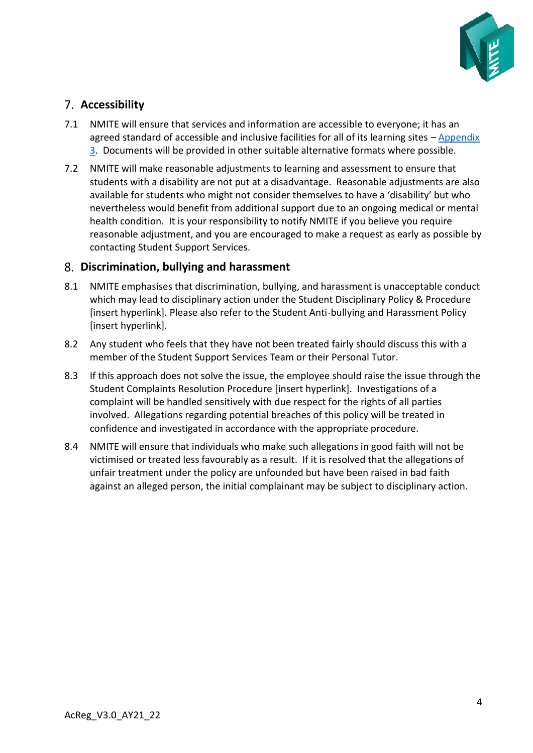

# <span id="page-3-0"></span>**Accessibility**

- 7.1 NMITE will ensure that services and information are accessible to everyone; it has an agreed standard of accessible and inclusive facilities for all of its learning sites – [Appendix](#page-7-0)  [3.](#page-7-0) Documents will be provided in other suitable alternative formats where possible.
- 7.2 NMITE will make reasonable adjustments to learning and assessment to ensure that students with a disability are not put at a disadvantage. Reasonable adjustments are also available for students who might not consider themselves to have a 'disability' but who nevertheless would benefit from additional support due to an ongoing medical or mental health condition. It is your responsibility to notify NMITE if you believe you require reasonable adjustment, and you are encouraged to make a request as early as possible by contacting Student Support Services.

## <span id="page-3-1"></span>**Discrimination, bullying and harassment**

- 8.1 NMITE emphasises that discrimination, bullying, and harassment is unacceptable conduct which may lead to disciplinary action under the Student Disciplinary Policy & Procedure [insert hyperlink]. Please also refer to the Student Anti-bullying and Harassment Policy [insert hyperlink].
- 8.2 Any student who feels that they have not been treated fairly should discuss this with a member of the Student Support Services Team or their Personal Tutor.
- 8.3 If this approach does not solve the issue, the employee should raise the issue through the Student Complaints Resolution Procedure [insert hyperlink]. Investigations of a complaint will be handled sensitively with due respect for the rights of all parties involved. Allegations regarding potential breaches of this policy will be treated in confidence and investigated in accordance with the appropriate procedure.
- 8.4 NMITE will ensure that individuals who make such allegations in good faith will not be victimised or treated less favourably as a result. If it is resolved that the allegations of unfair treatment under the policy are unfounded but have been raised in bad faith against an alleged person, the initial complainant may be subject to disciplinary action.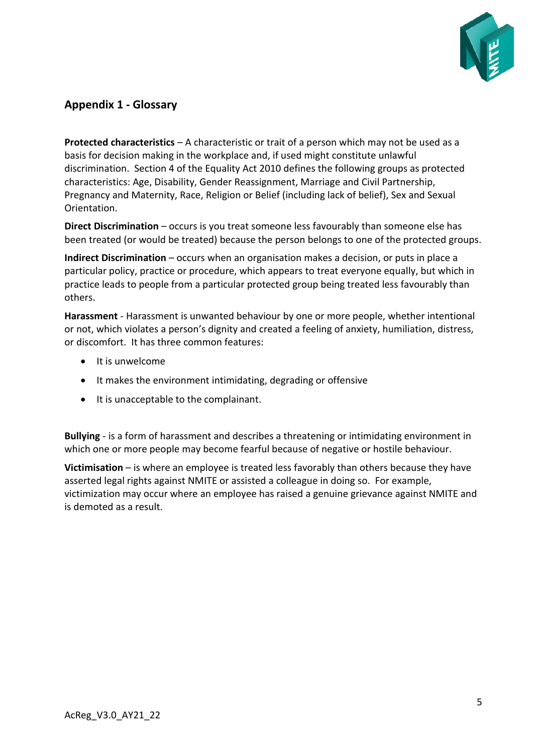

# <span id="page-4-0"></span>**Appendix 1 - Glossary**

**Protected characteristics** – A characteristic or trait of a person which may not be used as a basis for decision making in the workplace and, if used might constitute unlawful discrimination. Section 4 of the Equality Act 2010 defines the following groups as protected characteristics: Age, Disability, Gender Reassignment, Marriage and Civil Partnership, Pregnancy and Maternity, Race, Religion or Belief (including lack of belief), Sex and Sexual Orientation.

**Direct Discrimination** – occurs is you treat someone less favourably than someone else has been treated (or would be treated) because the person belongs to one of the protected groups.

**Indirect Discrimination** – occurs when an organisation makes a decision, or puts in place a particular policy, practice or procedure, which appears to treat everyone equally, but which in practice leads to people from a particular protected group being treated less favourably than others.

**Harassment** - Harassment is unwanted behaviour by one or more people, whether intentional or not, which violates a person's dignity and created a feeling of anxiety, humiliation, distress, or discomfort. It has three common features:

- It is unwelcome
- It makes the environment intimidating, degrading or offensive
- It is unacceptable to the complainant.

**Bullying** - is a form of harassment and describes a threatening or intimidating environment in which one or more people may become fearful because of negative or hostile behaviour.

**Victimisation** – is where an employee is treated less favorably than others because they have asserted legal rights against NMITE or assisted a colleague in doing so. For example, victimization may occur where an employee has raised a genuine grievance against NMITE and is demoted as a result.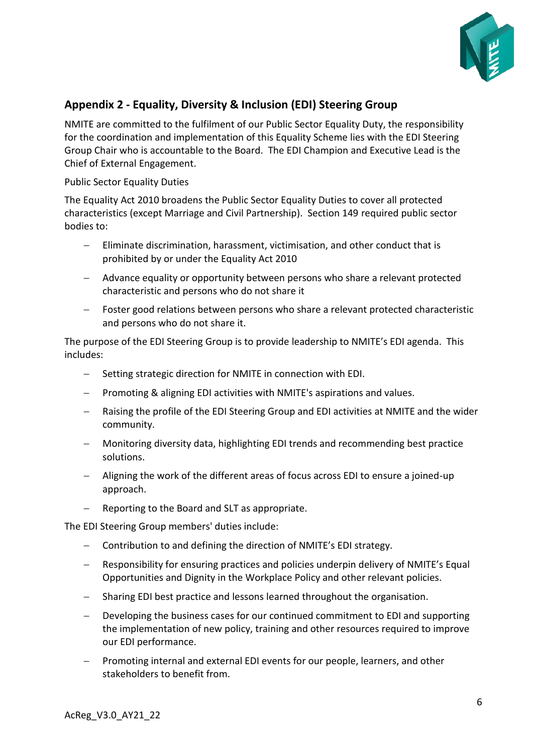

# <span id="page-5-0"></span>**Appendix 2 - Equality, Diversity & Inclusion (EDI) Steering Group**

NMITE are committed to the fulfilment of our Public Sector Equality Duty, the responsibility for the coordination and implementation of this Equality Scheme lies with the EDI Steering Group Chair who is accountable to the Board. The EDI Champion and Executive Lead is the Chief of External Engagement.

Public Sector Equality Duties

The Equality Act 2010 broadens the Public Sector Equality Duties to cover all protected characteristics (except Marriage and Civil Partnership). Section 149 required public sector bodies to:

- − Eliminate discrimination, harassment, victimisation, and other conduct that is prohibited by or under the Equality Act 2010
- − Advance equality or opportunity between persons who share a relevant protected characteristic and persons who do not share it
- Foster good relations between persons who share a relevant protected characteristic and persons who do not share it.

The purpose of the EDI Steering Group is to provide leadership to NMITE's EDI agenda. This includes:

- − Setting strategic direction for NMITE in connection with EDI.
- − Promoting & aligning EDI activities with NMITE's aspirations and values.
- Raising the profile of the EDI Steering Group and EDI activities at NMITE and the wider community.
- − Monitoring diversity data, highlighting EDI trends and recommending best practice solutions.
- − Aligning the work of the different areas of focus across EDI to ensure a joined-up approach.
- − Reporting to the Board and SLT as appropriate.

The EDI Steering Group members' duties include:

- − Contribution to and defining the direction of NMITE's EDI strategy.
- − Responsibility for ensuring practices and policies underpin delivery of NMITE's Equal Opportunities and Dignity in the Workplace Policy and other relevant policies.
- − Sharing EDI best practice and lessons learned throughout the organisation.
- Developing the business cases for our continued commitment to EDI and supporting the implementation of new policy, training and other resources required to improve our EDI performance.
- Promoting internal and external EDI events for our people, learners, and other stakeholders to benefit from.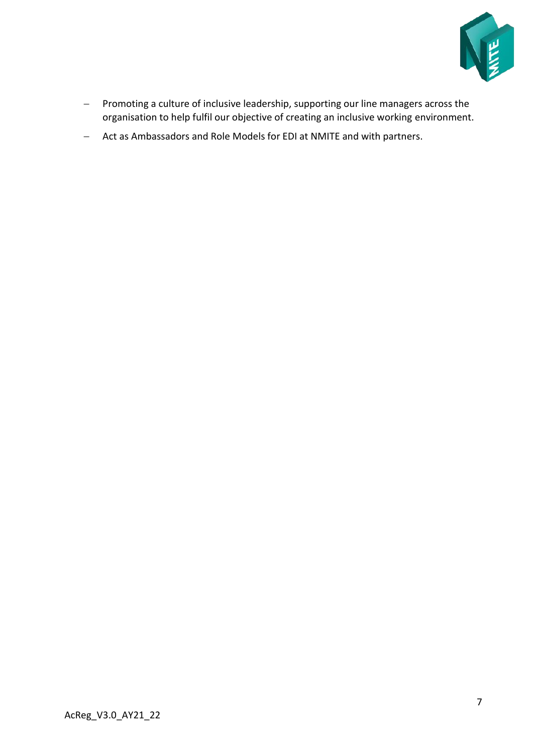

- − Promoting a culture of inclusive leadership, supporting our line managers across the organisation to help fulfil our objective of creating an inclusive working environment.
- − Act as Ambassadors and Role Models for EDI at NMITE and with partners.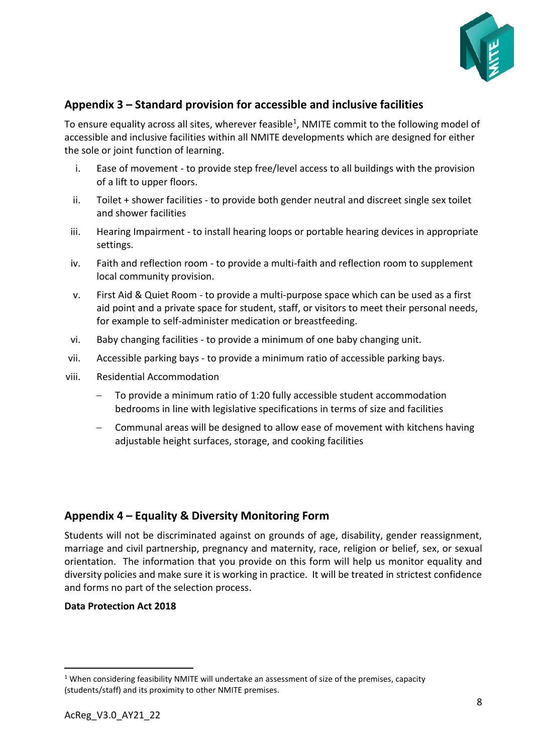

# <span id="page-7-0"></span>**Appendix 3 – Standard provision for accessible and inclusive facilities**

To ensure equality across all sites, wherever feasible<sup>1</sup>, NMITE commit to the following model of accessible and inclusive facilities within all NMITE developments which are designed for either the sole or joint function of learning.

- i. Ease of movement to provide step free/level access to all buildings with the provision of a lift to upper floors.
- ii. Toilet + shower facilities to provide both gender neutral and discreet single sex toilet and shower facilities
- iii. Hearing Impairment to install hearing loops or portable hearing devices in appropriate settings.
- iv. Faith and reflection room to provide a multi-faith and reflection room to supplement local community provision.
- v. First Aid & Quiet Room to provide a multi-purpose space which can be used as a first aid point and a private space for student, staff, or visitors to meet their personal needs, for example to self-administer medication or breastfeeding.
- vi. Baby changing facilities to provide a minimum of one baby changing unit.
- vii. Accessible parking bays to provide a minimum ratio of accessible parking bays.
- viii. Residential Accommodation
	- To provide a minimum ratio of 1:20 fully accessible student accommodation bedrooms in line with legislative specifications in terms of size and facilities
	- − Communal areas will be designed to allow ease of movement with kitchens having adjustable height surfaces, storage, and cooking facilities

## <span id="page-7-1"></span>**Appendix 4 – Equality & Diversity Monitoring Form**

Students will not be discriminated against on grounds of age, disability, gender reassignment, marriage and civil partnership, pregnancy and maternity, race, religion or belief, sex, or sexual orientation. The information that you provide on this form will help us monitor equality and diversity policies and make sure it is working in practice. It will be treated in strictest confidence and forms no part of the selection process.

#### **Data Protection Act 2018**

<sup>&</sup>lt;sup>1</sup> When considering feasibility NMITE will undertake an assessment of size of the premises, capacity (students/staff) and its proximity to other NMITE premises.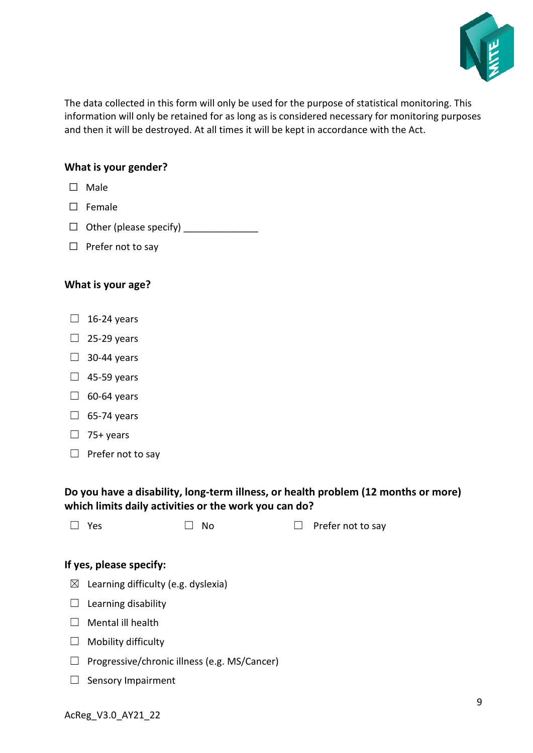

The data collected in this form will only be used for the purpose of statistical monitoring. This information will only be retained for as long as is considered necessary for monitoring purposes and then it will be destroyed. At all times it will be kept in accordance with the Act.

#### **What is your gender?**

- ☐ Male
- ☐ Female
- ☐ Other (please specify) \_\_\_\_\_\_\_\_\_\_\_\_\_\_
- □ Prefer not to say

#### **What is your age?**

- $\Box$  16-24 years
- $\Box$  25-29 years
- $\Box$  30-44 years
- $\Box$  45-59 years
- $\Box$  60-64 years
- $\Box$  65-74 years
- $\Box$  75+ years
- $\Box$  Prefer not to say

## **Do you have a disability, long-term illness, or health problem (12 months or more) which limits daily activities or the work you can do?**

| $\Box$ Yes | $\square$ No | $\Box$ Prefer not to say |
|------------|--------------|--------------------------|
|            |              |                          |

#### **If yes, please specify:**

- $\boxtimes$  Learning difficulty (e.g. dyslexia)
- $\Box$  Learning disability
- $\Box$  Mental ill health
- $\Box$  Mobility difficulty
- ☐ Progressive/chronic illness (e.g. MS/Cancer)
- □ Sensory Impairment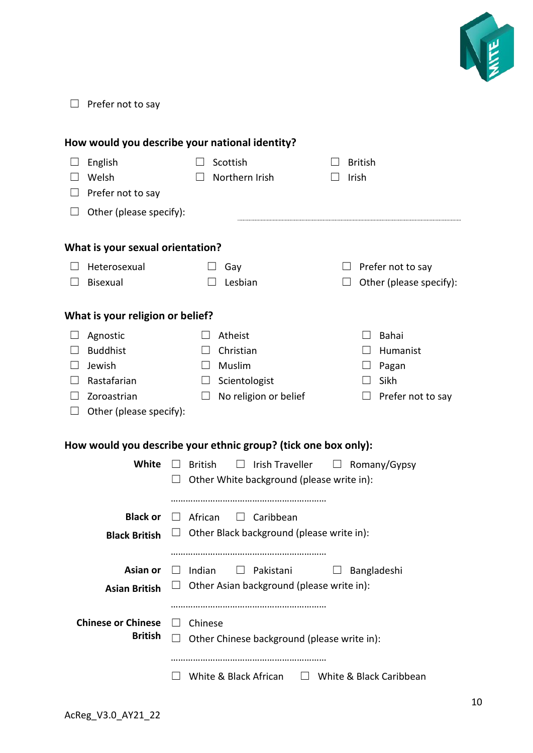

□ Prefer not to say

| How would you describe your national identity?                 |                           |                                                     |                                     |  |  |  |  |
|----------------------------------------------------------------|---------------------------|-----------------------------------------------------|-------------------------------------|--|--|--|--|
|                                                                | English                   | Scottish<br>$\perp$                                 | <b>British</b>                      |  |  |  |  |
|                                                                | Welsh                     | Northern Irish                                      | Irish                               |  |  |  |  |
|                                                                | Prefer not to say         |                                                     |                                     |  |  |  |  |
| $\Box$                                                         | Other (please specify):   |                                                     |                                     |  |  |  |  |
| What is your sexual orientation?                               |                           |                                                     |                                     |  |  |  |  |
|                                                                | Heterosexual              | Gay<br>$\Box$                                       | Prefer not to say<br>$\Box$         |  |  |  |  |
|                                                                | Bisexual                  | Lesbian                                             | Other (please specify):             |  |  |  |  |
| What is your religion or belief?                               |                           |                                                     |                                     |  |  |  |  |
|                                                                | Agnostic                  | Atheist                                             | Bahai                               |  |  |  |  |
|                                                                | <b>Buddhist</b>           | Christian                                           | Humanist                            |  |  |  |  |
|                                                                | Jewish                    | Muslim<br>$\Box$                                    | $\Box$ Pagan                        |  |  |  |  |
|                                                                | Rastafarian               | Scientologist<br>ப                                  | Sikh                                |  |  |  |  |
|                                                                | Zoroastrian               | No religion or belief<br>$\perp$                    | $\Box$ Prefer not to say            |  |  |  |  |
| $\Box$                                                         | Other (please specify):   |                                                     |                                     |  |  |  |  |
| How would you describe your ethnic group? (tick one box only): |                           |                                                     |                                     |  |  |  |  |
|                                                                | White                     | $\Box$<br><b>British</b><br>$\Box$                  | Irish Traveller $\Box$ Romany/Gypsy |  |  |  |  |
|                                                                |                           | Other White background (please write in):<br>$\Box$ |                                     |  |  |  |  |
|                                                                |                           |                                                     |                                     |  |  |  |  |
|                                                                | <b>Black or</b>           | $\Box$ African<br>$\Box$ Caribbean                  |                                     |  |  |  |  |
|                                                                | <b>Black British</b>      | $\Box$ Other Black background (please write in):    |                                     |  |  |  |  |
|                                                                |                           |                                                     |                                     |  |  |  |  |
|                                                                |                           |                                                     |                                     |  |  |  |  |
|                                                                | Asian or                  | Indian<br>Pakistani<br>$\Box$<br>$\perp$            | Bangladeshi<br>⊔                    |  |  |  |  |
|                                                                | <b>Asian British</b>      | Other Asian background (please write in):           |                                     |  |  |  |  |
|                                                                |                           |                                                     |                                     |  |  |  |  |
|                                                                | <b>Chinese or Chinese</b> | Chinese<br>$\Box$                                   |                                     |  |  |  |  |
|                                                                | <b>British</b>            | Other Chinese background (please write in):         |                                     |  |  |  |  |
|                                                                |                           |                                                     |                                     |  |  |  |  |
|                                                                |                           | White & Black African<br>$\Box$                     | White & Black Caribbean             |  |  |  |  |